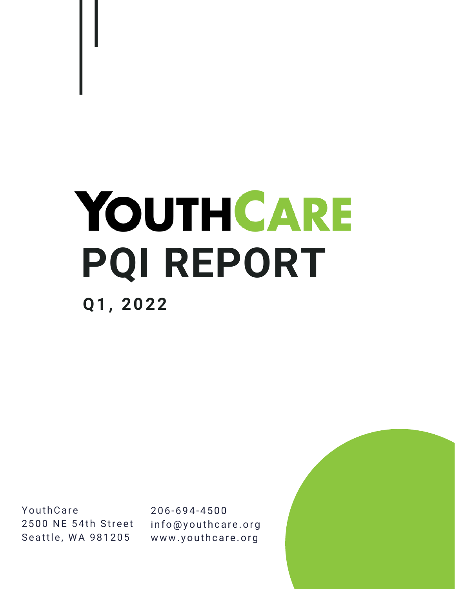# YOUTHCARE **PQI REPORT Q1, 2022**

**YouthCare** 2500 NE 54th Street Seattle, WA 981205

206-694-4500 info@youthcare.org www.youthcare.org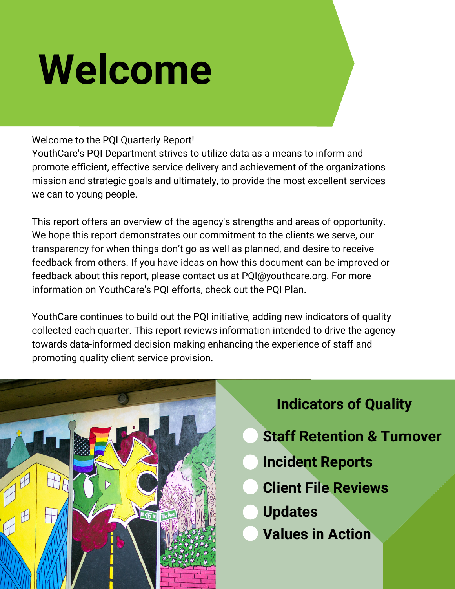# **Welcome**

### Welcome to the PQI Quarterly Report!

YouthCare's PQI Department strives to utilize data as a means to inform and promote efficient, effective service delivery and achievement of the organizations mission and strategic goals and ultimately, to provide the most excellent services we can to young people.

This report offers an overview of the agency's strengths and areas of opportunity. We hope this report demonstrates our commitment to the clients we serve, our transparency for when things don't go as well as planned, and desire to receive feedback from others. If you have ideas on how this document can be improved or feedback about this report, please contact us at PQI@youthcare.org. For more information on YouthCare's PQI efforts, check out the PQI Plan.

YouthCare continues to build out the PQI initiative, adding new indicators of quality collected each quarter. This report reviews information intended to drive the agency towards data-informed decision making enhancing the experience of staff and promoting quality client service provision.



# **Indicators of Quality**

- **Staff Retention & Turnover**
- **Incident Reports**
- **Client File Reviews**
- **Updates**
- **Values in Action**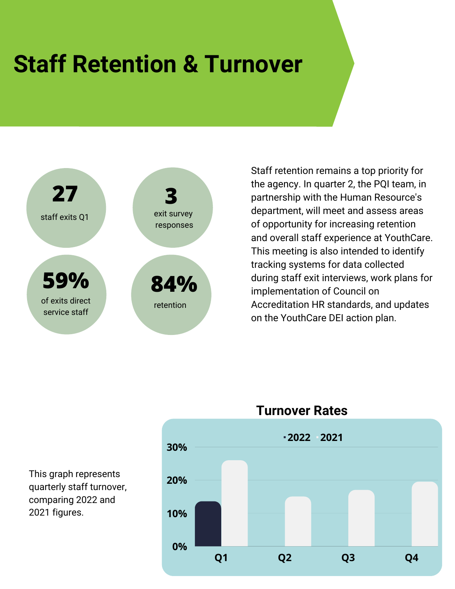# **Staff Retention & Turnover**



Staff retention remains a top priority for the agency. In quarter 2, the PQI team, in partnership with the Human Resource's department, will meet and assess areas of opportunity for increasing retention and overall staff experience at YouthCare. This meeting is also intended to identify tracking systems for data collected during staff exit interviews, work plans for implementation of Council on Accreditation HR standards, and updates on the YouthCare DEI action plan.



This graph represents quarterly staff turnover, comparing 2022 and 2021 figures.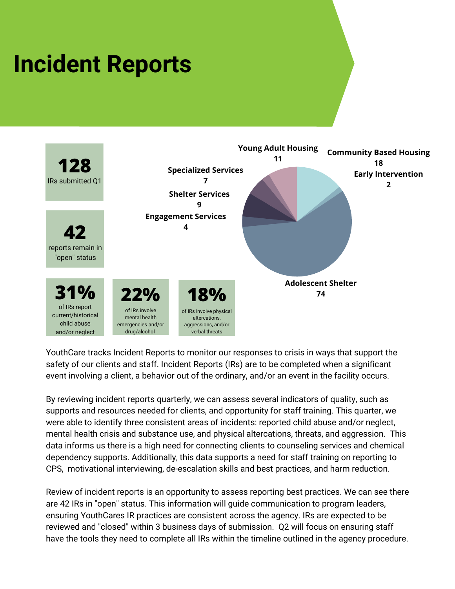# **Incident Reports**



YouthCare tracks Incident Reports to monitor our responses to crisis in ways that support the safety of our clients and staff. Incident Reports (IRs) are to be completed when a significant event involving a client, a behavior out of the ordinary, and/or an event in the facility occurs.

By reviewing incident reports quarterly, we can assess several indicators of quality, such as supports and resources needed for clients, and opportunity for staff training. This quarter, we were able to identify three consistent areas of incidents: reported child abuse and/or neglect, mental health crisis and substance use, and physical altercations, threats, and aggression. This data informs us there is a high need for connecting clients to counseling services and chemical dependency supports. Additionally, this data supports a need for staff training on reporting to CPS, motivational interviewing, de-escalation skills and best practices, and harm reduction.

Review of incident reports is an opportunity to assess reporting best practices. We can see there are 42 IRs in "open" status. This information will guide communication to program leaders, ensuring YouthCares IR practices are consistent across the agency. IRs are expected to be reviewed and "closed" within 3 business days of submission. Q2 will focus on ensuring staff have the tools they need to complete all IRs within the timeline outlined in the agency procedure.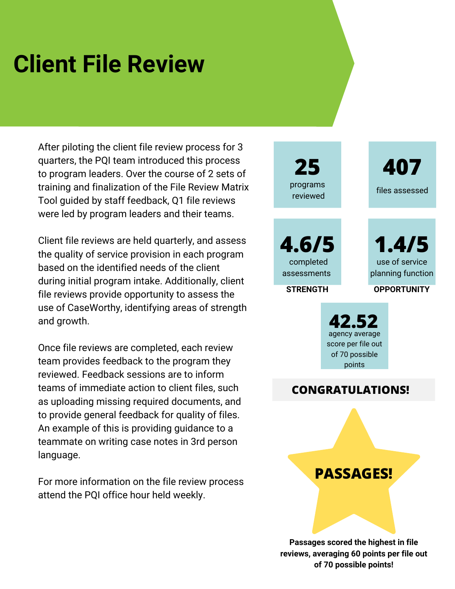# **Client File Review**

After piloting the client file review process for 3 quarters, the PQI team introduced this process to program leaders. Over the course of 2 sets of training and finalization of the File Review Matrix Tool guided by staff feedback, Q1 file reviews were led by program leaders and their teams.

Client file reviews are held quarterly, and assess the quality of service provision in each program based on the identified needs of the client during initial program intake. Additionally, client file reviews provide opportunity to assess the use of CaseWorthy, identifying areas of strength and growth.

Once file reviews are completed, each review team provides feedback to the program they reviewed. Feedback sessions are to inform teams of immediate action to client files, such as uploading missing required documents, and to provide general feedback for quality of files. An example of this is providing guidance to a teammate on writing case notes in 3rd person language.

For more information on the file review process attend the PQI office hour held weekly.

**25** programs reviewed

files assessed

**407**

**4.6/5** completed assessments

**STRENGTH OPPORTUNITY**

planning function

use of service

**1.4/5**

**42.52** agency average score per file out of 70 possible points

# **CONGRATULATIONS!**

**PASSAGES!**

**Passages scored the highest in file reviews, averaging 60 points per file out of 70 possible points!**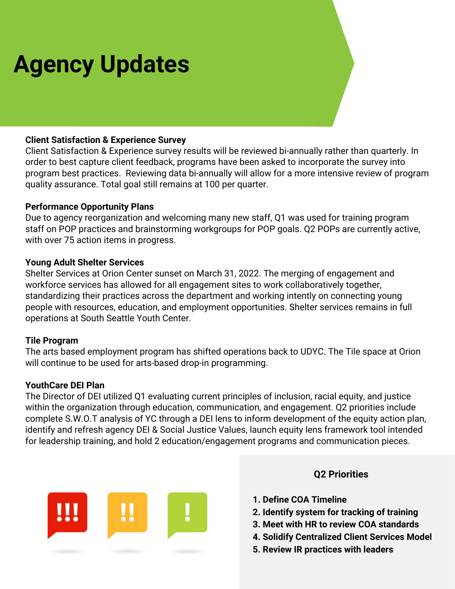# **Agency Updates**

#### **Client Satisfaction & Experience Survey**

Client Satisfaction & Experience survey results will be reviewed bi-annually rather than quarterly. In order to best capture client feedback, programs have been asked to incorporate the survey into program best practices. Reviewing data bi-annually will allow for a more intensive review of program quality assurance. Total goal still remains at 100 per quarter.

#### **Performance Opportunity Plans**

Due to agency reorganization and welcoming many new staff, Q1 was used for training program staff on POP practices and brainstorming workgroups for POP goals. Q2 POPs are currently active, with over 75 action items in progress.

#### **Young Adult Shelter Services**

Shelter Services at Orion Center sunset on March 31, 2022. The merging of engagement and workforce services has allowed for all engagement sites to work collaboratively together, standardizing their practices across the department and working intently on connecting young people with resources, education, and employment opportunities. Shelter services remains in full operations at South Seattle Youth Center.

#### **Tile Program**

The arts based employment program has shifted operations back to UDYC. The Tile space at Orion will continue to be used for arts-based drop-in programming.

#### **YouthCare DEI Plan**

The Director of DEI utilized Q1 evaluating current principles of inclusion, racial equity, and justice within the organization through education, communication, and engagement. Q2 priorities include complete S.W.O.T analysis of YC through a DEI lens to inform development of the equity action plan, identify and refresh agency DEI & Social Justice Values, launch equity lens framework tool intended for leadership training, and hold 2 education/engagement programs and communication pieces.



#### **Q2 Priorities**

- **1. Define COA Timeline**
- **2. Identify system for tracking of training**
- **3. Meet with HR to review COA standards**
- **4. Solidify Centralized Client Services Model**
- **5. Review IR practices with leaders**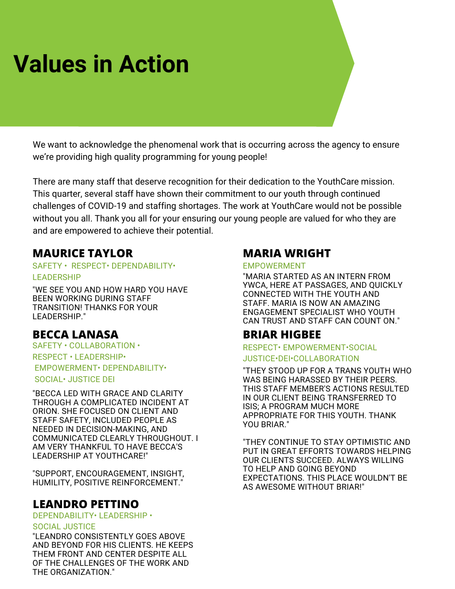# **Values in Action**

We want to acknowledge the phenomenal work that is occurring across the agency to ensure we're providing high quality programming for young people!

There are many staff that deserve recognition for their dedication to the YouthCare mission. This quarter, several staff have shown their commitment to our youth through continued challenges of COVID-19 and staffing shortages. The work at YouthCare would not be possible without you all. Thank you all for your ensuring our young people are valued for who they are and are empowered to achieve their potential.

# **MAURICE TAYLOR**

#### SAFETY • RESPECT• DEPENDABILITY• LEADERSHIP

"WE SEE YOU AND HOW HARD YOU HAVE BEEN WORKING DURING STAFF TRANSITION! THANKS FOR YOUR LEADERSHIP."

# **BECCA LANASA**

SAFETY • COLLABORATION • RESPECT • LEADERSHIP• EMPOWERMENT• DEPENDABILITY• SOCIAL• JUSTICE DEI

"BECCA LED WITH GRACE AND CLARITY THROUGH A COMPLICATED INCIDENT AT ORION. SHE FOCUSED ON CLIENT AND STAFF SAFETY, INCLUDED PEOPLE AS NEEDED IN DECISION-MAKING, AND COMMUNICATED CLEARLY THROUGHOUT. I AM VERY THANKFUL TO HAVE BECCA'S LEADERSHIP AT YOUTHCARE!"

"SUPPORT, ENCOURAGEMENT, INSIGHT, HUMILITY, POSITIVE REINFORCEMENT."

# **LEANDRO PETTINO**

DEPENDABILITY• LEADERSHIP •

#### SOCIAL JUSTICE

"LEANDRO CONSISTENTLY GOES ABOVE AND BEYOND FOR HIS CLIENTS. HE KEEPS THEM FRONT AND CENTER DESPITE ALL OF THE CHALLENGES OF THE WORK AND THE ORGANIZATION."

# **MARIA WRIGHT**

#### EMPOWERMENT

"MARIA STARTED AS AN INTERN FROM YWCA, HERE AT PASSAGES, AND QUICKLY CONNECTED WITH THE YOUTH AND STAFF. MARIA IS NOW AN AMAZING ENGAGEMENT SPECIALIST WHO YOUTH CAN TRUST AND STAFF CAN COUNT ON."

# **BRIAR HIGBEE**

#### RESPECT• EMPOWERMENT•SOCIAL JUSTICE•DEI•COLLABORATION

"THEY STOOD UP FOR A TRANS YOUTH WHO WAS BEING HARASSED BY THEIR PEERS. THIS STAFF MEMBER'S ACTIONS RESULTED IN OUR CLIENT BEING TRANSFERRED TO ISIS; A PROGRAM MUCH MORE APPROPRIATE FOR THIS YOUTH. THANK YOU BRIAR."

"THEY CONTINUE TO STAY OPTIMISTIC AND PUT IN GREAT EFFORTS TOWARDS HELPING OUR CLIENTS SUCCEED. ALWAYS WILLING TO HELP AND GOING BEYOND EXPECTATIONS. THIS PLACE WOULDN'T BE AS AWESOME WITHOUT BRIAR!"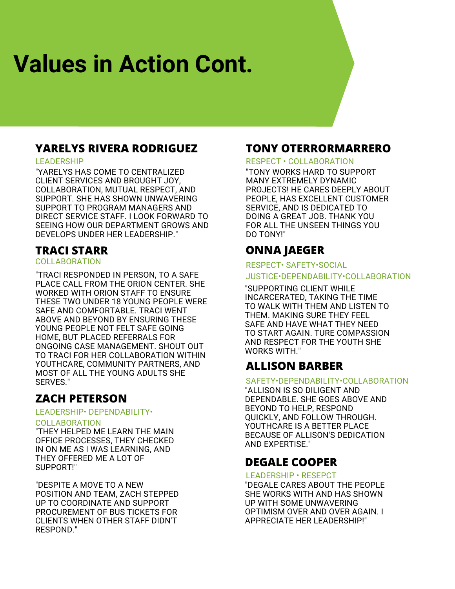# **Values in Action Cont.**

# **YARELYS RIVERA RODRIGUEZ**

#### LEADERSHIP

"YARELYS HAS COME TO CENTRALIZED CLIENT SERVICES AND BROUGHT JOY, COLLABORATION, MUTUAL RESPECT, AND SUPPORT. SHE HAS SHOWN UNWAVERING SUPPORT TO PROGRAM MANAGERS AND DIRECT SERVICE STAFF. I LOOK FORWARD TO SEEING HOW OUR DEPARTMENT GROWS AND DEVELOPS UNDER HER LEADERSHIP."

# **TRACI STARR**

#### COLLABORATION

"TRACI RESPONDED IN PERSON, TO A SAFE PLACE CALL FROM THE ORION CENTER. SHE WORKED WITH ORION STAFF TO ENSURE THESE TWO UNDER 18 YOUNG PEOPLE WERE SAFE AND COMFORTABLE. TRACI WENT ABOVE AND BEYOND BY ENSURING THESE YOUNG PEOPLE NOT FELT SAFE GOING HOME, BUT PLACED REFERRALS FOR ONGOING CASE MANAGEMENT. SHOUT OUT TO TRACI FOR HER COLLABORATION WITHIN YOUTHCARE, COMMUNITY PARTNERS, AND MOST OF ALL THE YOUNG ADULTS SHE SERVES."

# **ZACH PETERSON**

#### LEADERSHIP• DEPENDABILITY•

#### COLLABORATION

"THEY HELPED ME LEARN THE MAIN OFFICE PROCESSES, THEY CHECKED IN ON ME AS I WAS LEARNING, AND THEY OFFERED ME A LOT OF SUPPORT!"

"DESPITE A MOVE TO A NEW POSITION AND TEAM, ZACH STEPPED UP TO COORDINATE AND SUPPORT PROCUREMENT OF BUS TICKETS FOR CLIENTS WHEN OTHER STAFF DIDN'T RESPOND."

### **TONY OTERRORMARRERO**

#### RESPECT • COLLABORATION

"TONY WORKS HARD TO SUPPORT MANY EXTREMELY DYNAMIC PROJECTS! HE CARES DEEPLY ABOUT PEOPLE, HAS EXCELLENT CUSTOMER SERVICE, AND IS DEDICATED TO DOING A GREAT JOB. THANK YOU FOR ALL THE UNSEEN THINGS YOU DO TONY!"

# **ONNA JAEGER**

#### RESPECT• SAFETY•SOCIAL

#### JUSTICE•DEPENDABILITY•COLLABORATION

"SUPPORTING CLIENT WHILE INCARCERATED, TAKING THE TIME TO WALK WITH THEM AND LISTEN TO THEM. MAKING SURE THEY FEEL SAFE AND HAVE WHAT THEY NEED TO START AGAIN. TURE COMPASSION AND RESPECT FOR THE YOUTH SHE WORKS WITH."

# **ALLISON BARBER**

#### SAFETY•DEPENDABILITY•COLLABORATION

"ALLISON IS SO DILIGENT AND DEPENDABLE. SHE GOES ABOVE AND BEYOND TO HELP, RESPOND QUICKLY, AND FOLLOW THROUGH. YOUTHCARE IS A BETTER PLACE BECAUSE OF ALLISON'S DEDICATION AND EXPERTISE."

# **DEGALE COOPER**

#### LEADERSHIP • RESEPCT

"DEGALE CARES ABOUT THE PEOPLE SHE WORKS WITH AND HAS SHOWN UP WITH SOME UNWAVERING OPTIMISM OVER AND OVER AGAIN. I APPRECIATE HER LEADERSHIP!"